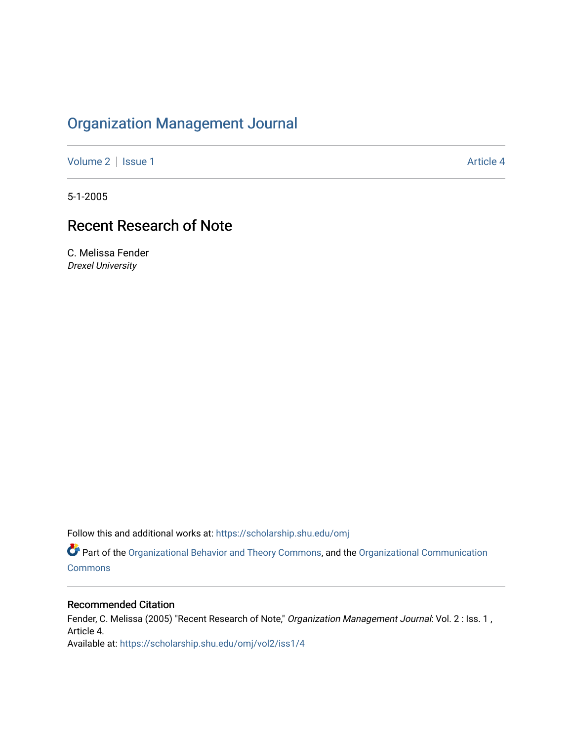# [Organization Management Journal](https://scholarship.shu.edu/omj)

[Volume 2](https://scholarship.shu.edu/omj/vol2) | [Issue 1](https://scholarship.shu.edu/omj/vol2/iss1) Article 4

5-1-2005

## Recent Research of Note

C. Melissa Fender Drexel University

Follow this and additional works at: [https://scholarship.shu.edu/omj](https://scholarship.shu.edu/omj?utm_source=scholarship.shu.edu%2Fomj%2Fvol2%2Fiss1%2F4&utm_medium=PDF&utm_campaign=PDFCoverPages) 

Part of the [Organizational Behavior and Theory Commons,](http://network.bepress.com/hgg/discipline/639?utm_source=scholarship.shu.edu%2Fomj%2Fvol2%2Fiss1%2F4&utm_medium=PDF&utm_campaign=PDFCoverPages) and the [Organizational Communication](http://network.bepress.com/hgg/discipline/335?utm_source=scholarship.shu.edu%2Fomj%2Fvol2%2Fiss1%2F4&utm_medium=PDF&utm_campaign=PDFCoverPages) **[Commons](http://network.bepress.com/hgg/discipline/335?utm_source=scholarship.shu.edu%2Fomj%2Fvol2%2Fiss1%2F4&utm_medium=PDF&utm_campaign=PDFCoverPages)** 

#### Recommended Citation

Fender, C. Melissa (2005) "Recent Research of Note," Organization Management Journal: Vol. 2 : Iss. 1, Article 4. Available at: [https://scholarship.shu.edu/omj/vol2/iss1/4](https://scholarship.shu.edu/omj/vol2/iss1/4?utm_source=scholarship.shu.edu%2Fomj%2Fvol2%2Fiss1%2F4&utm_medium=PDF&utm_campaign=PDFCoverPages)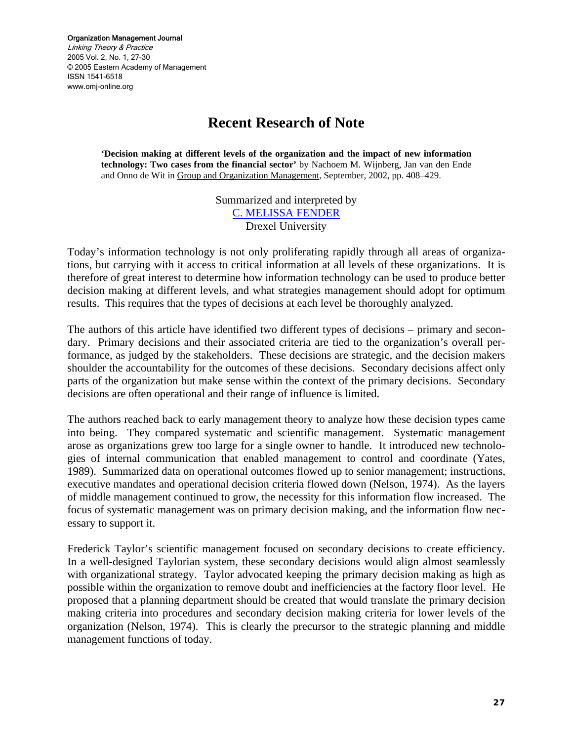Organization Management Journal Linking Theory & Practice 2005 Vol. 2, No. 1, 27-30 © 2005 Eastern Academy of Management ISSN 1541-6518 www.omj-online.org

### **Recent Research of Note**

**'Decision making at different levels of the organization and the impact of new information technology: Two cases from the financial sector'** by Nachoem M. Wijnberg, Jan van den Ende and Onno de Wit in Group and Organization Management, September, 2002, pp. 408–429.

> Summarized and interpreted by [C. MELISSA FENDER](mailto:bluebird@bee.net) Drexel University

Today's information technology is not only proliferating rapidly through all areas of organizations, but carrying with it access to critical information at all levels of these organizations. It is therefore of great interest to determine how information technology can be used to produce better decision making at different levels, and what strategies management should adopt for optimum results. This requires that the types of decisions at each level be thoroughly analyzed.

The authors of this article have identified two different types of decisions – primary and secondary. Primary decisions and their associated criteria are tied to the organization's overall performance, as judged by the stakeholders. These decisions are strategic, and the decision makers shoulder the accountability for the outcomes of these decisions. Secondary decisions affect only parts of the organization but make sense within the context of the primary decisions. Secondary decisions are often operational and their range of influence is limited.

The authors reached back to early management theory to analyze how these decision types came into being. They compared systematic and scientific management. Systematic management arose as organizations grew too large for a single owner to handle. It introduced new technologies of internal communication that enabled management to control and coordinate (Yates, 1989). Summarized data on operational outcomes flowed up to senior management; instructions, executive mandates and operational decision criteria flowed down (Nelson, 1974). As the layers of middle management continued to grow, the necessity for this information flow increased. The focus of systematic management was on primary decision making, and the information flow necessary to support it.

Frederick Taylor's scientific management focused on secondary decisions to create efficiency. In a well-designed Taylorian system, these secondary decisions would align almost seamlessly with organizational strategy. Taylor advocated keeping the primary decision making as high as possible within the organization to remove doubt and inefficiencies at the factory floor level. He proposed that a planning department should be created that would translate the primary decision making criteria into procedures and secondary decision making criteria for lower levels of the organization (Nelson, 1974). This is clearly the precursor to the strategic planning and middle management functions of today.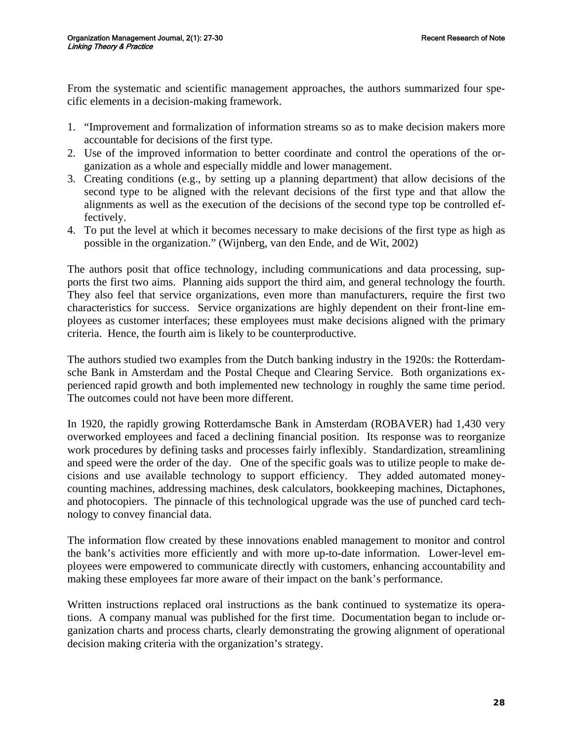From the systematic and scientific management approaches, the authors summarized four specific elements in a decision-making framework.

- 1. "Improvement and formalization of information streams so as to make decision makers more accountable for decisions of the first type.
- 2. Use of the improved information to better coordinate and control the operations of the organization as a whole and especially middle and lower management.
- 3. Creating conditions (e.g., by setting up a planning department) that allow decisions of the second type to be aligned with the relevant decisions of the first type and that allow the alignments as well as the execution of the decisions of the second type top be controlled effectively.
- 4. To put the level at which it becomes necessary to make decisions of the first type as high as possible in the organization." (Wijnberg, van den Ende, and de Wit, 2002)

The authors posit that office technology, including communications and data processing, supports the first two aims. Planning aids support the third aim, and general technology the fourth. They also feel that service organizations, even more than manufacturers, require the first two characteristics for success. Service organizations are highly dependent on their front-line employees as customer interfaces; these employees must make decisions aligned with the primary criteria. Hence, the fourth aim is likely to be counterproductive.

The authors studied two examples from the Dutch banking industry in the 1920s: the Rotterdamsche Bank in Amsterdam and the Postal Cheque and Clearing Service. Both organizations experienced rapid growth and both implemented new technology in roughly the same time period. The outcomes could not have been more different.

In 1920, the rapidly growing Rotterdamsche Bank in Amsterdam (ROBAVER) had 1,430 very overworked employees and faced a declining financial position. Its response was to reorganize work procedures by defining tasks and processes fairly inflexibly. Standardization, streamlining and speed were the order of the day. One of the specific goals was to utilize people to make decisions and use available technology to support efficiency. They added automated moneycounting machines, addressing machines, desk calculators, bookkeeping machines, Dictaphones, and photocopiers. The pinnacle of this technological upgrade was the use of punched card technology to convey financial data.

The information flow created by these innovations enabled management to monitor and control the bank's activities more efficiently and with more up-to-date information. Lower-level employees were empowered to communicate directly with customers, enhancing accountability and making these employees far more aware of their impact on the bank's performance.

Written instructions replaced oral instructions as the bank continued to systematize its operations. A company manual was published for the first time. Documentation began to include organization charts and process charts, clearly demonstrating the growing alignment of operational decision making criteria with the organization's strategy.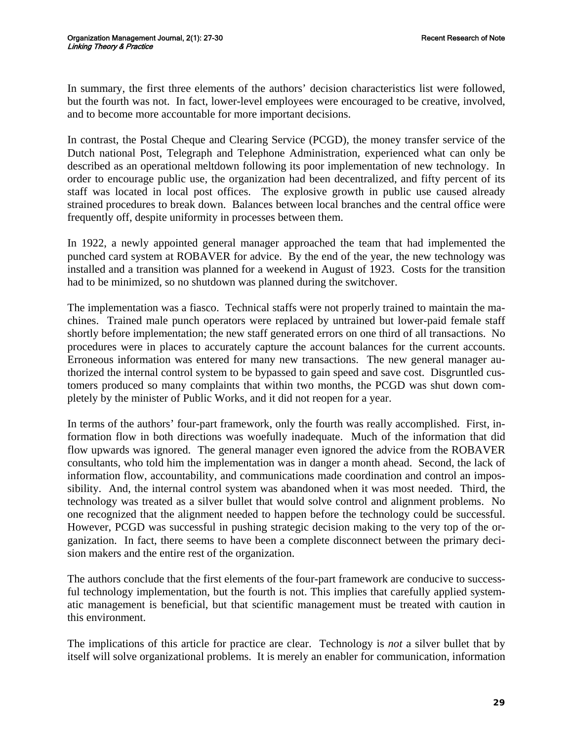In summary, the first three elements of the authors' decision characteristics list were followed, but the fourth was not. In fact, lower-level employees were encouraged to be creative, involved, and to become more accountable for more important decisions.

In contrast, the Postal Cheque and Clearing Service (PCGD), the money transfer service of the Dutch national Post, Telegraph and Telephone Administration, experienced what can only be described as an operational meltdown following its poor implementation of new technology. In order to encourage public use, the organization had been decentralized, and fifty percent of its staff was located in local post offices. The explosive growth in public use caused already strained procedures to break down. Balances between local branches and the central office were frequently off, despite uniformity in processes between them.

In 1922, a newly appointed general manager approached the team that had implemented the punched card system at ROBAVER for advice. By the end of the year, the new technology was installed and a transition was planned for a weekend in August of 1923. Costs for the transition had to be minimized, so no shutdown was planned during the switchover.

The implementation was a fiasco. Technical staffs were not properly trained to maintain the machines. Trained male punch operators were replaced by untrained but lower-paid female staff shortly before implementation; the new staff generated errors on one third of all transactions. No procedures were in places to accurately capture the account balances for the current accounts. Erroneous information was entered for many new transactions. The new general manager authorized the internal control system to be bypassed to gain speed and save cost. Disgruntled customers produced so many complaints that within two months, the PCGD was shut down completely by the minister of Public Works, and it did not reopen for a year.

In terms of the authors' four-part framework, only the fourth was really accomplished. First, information flow in both directions was woefully inadequate. Much of the information that did flow upwards was ignored. The general manager even ignored the advice from the ROBAVER consultants, who told him the implementation was in danger a month ahead. Second, the lack of information flow, accountability, and communications made coordination and control an impossibility. And, the internal control system was abandoned when it was most needed. Third, the technology was treated as a silver bullet that would solve control and alignment problems. No one recognized that the alignment needed to happen before the technology could be successful. However, PCGD was successful in pushing strategic decision making to the very top of the organization. In fact, there seems to have been a complete disconnect between the primary decision makers and the entire rest of the organization.

The authors conclude that the first elements of the four-part framework are conducive to successful technology implementation, but the fourth is not. This implies that carefully applied systematic management is beneficial, but that scientific management must be treated with caution in this environment.

The implications of this article for practice are clear. Technology is *not* a silver bullet that by itself will solve organizational problems. It is merely an enabler for communication, information